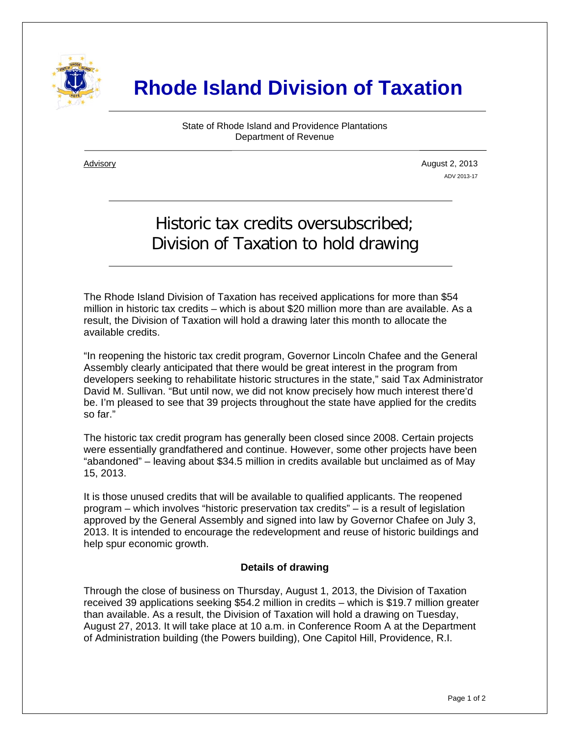

## **Rhode Island Division of Taxation**

State of Rhode Island and Providence Plantations Department of Revenue

i

Advisory August 2, 2013 ADV 2013-17

## Historic tax credits oversubscribed; Division of Taxation to hold drawing

The Rhode Island Division of Taxation has received applications for more than \$54 million in historic tax credits – which is about \$20 million more than are available. As a result, the Division of Taxation will hold a drawing later this month to allocate the available credits.

"In reopening the historic tax credit program, Governor Lincoln Chafee and the General Assembly clearly anticipated that there would be great interest in the program from developers seeking to rehabilitate historic structures in the state," said Tax Administrator David M. Sullivan. "But until now, we did not know precisely how much interest there'd be. I'm pleased to see that 39 projects throughout the state have applied for the credits so far."

The historic tax credit program has generally been closed since 2008. Certain projects were essentially grandfathered and continue. However, some other projects have been "abandoned" – leaving about \$34.5 million in credits available but unclaimed as of May 15, 2013.

It is those unused credits that will be available to qualified applicants. The reopened program – which involves "historic preservation tax credits" – is a result of legislation approved by the General Assembly and signed into law by Governor Chafee on July 3, 2013. It is intended to encourage the redevelopment and reuse of historic buildings and help spur economic growth.

## **Details of drawing**

Through the close of business on Thursday, August 1, 2013, the Division of Taxation received 39 applications seeking \$54.2 million in credits – which is \$19.7 million greater than available. As a result, the Division of Taxation will hold a drawing on Tuesday, August 27, 2013. It will take place at 10 a.m. in Conference Room A at the Department of Administration building (the Powers building), One Capitol Hill, Providence, R.I.